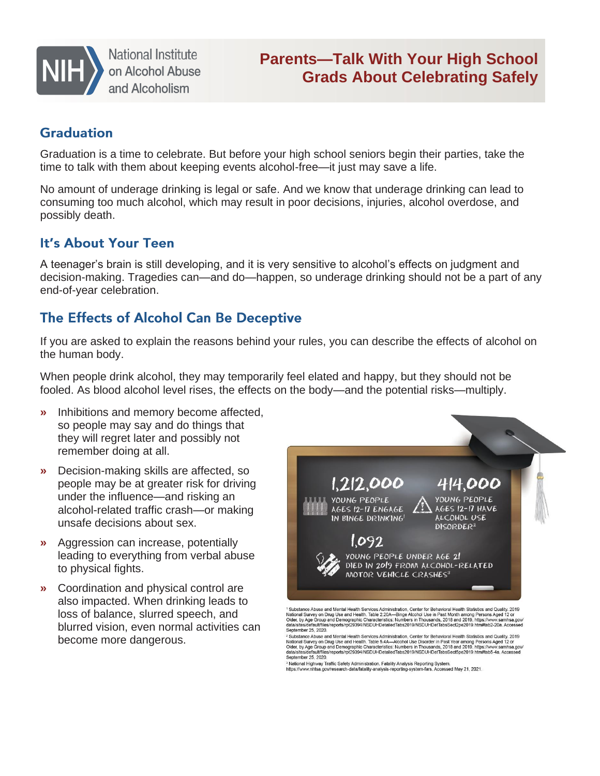

**National Institute** on Alcohol Abuse and Alcoholism

# **Parents—Talk With Your High School Grads About Celebrating Safely**

#### **Graduation**

Graduation is a time to celebrate. But before your high school seniors begin their parties, take the time to talk with them about keeping events alcohol-free—it just may save a life.

No amount of underage drinking is legal or safe. And we know that underage drinking can lead to consuming too much alcohol, which may result in poor decisions, injuries, alcohol overdose, and possibly death.

#### It's About Your Teen

A teenager's brain is still developing, and it is very sensitive to alcohol's effects on judgment and decision-making. Tragedies can—and do—happen, so underage drinking should not be a part of any end-of-year celebration.

## The Effects of Alcohol Can Be Deceptive

If you are asked to explain the reasons behind your rules, you can describe the effects of alcohol on the human body.

When people drink alcohol, they may temporarily feel elated and happy, but they should not be fooled. As blood alcohol level rises, the effects on the body—and the potential risks—multiply.

- **»** Inhibitions and memory become affected, so people may say and do things that they will regret later and possibly not remember doing at all.
- **»** Decision-making skills are affected, so people may be at greater risk for driving under the influence—and risking an alcohol-related traffic crash—or making unsafe decisions about sex.
- **»** Aggression can increase, potentially leading to everything from verbal abuse to physical fights.
- **»** Coordination and physical control are also impacted. When drinking leads to loss of balance, slurred speech, and blurred vision, even normal activities can become more dangerous.



September 25, 2020.<br>
September 25, 2020.<br>
September 25, 2020.<br>
September 25, 2020.<br>
September 25, 2020.<br>
In Walter and New Hall Health Services Administration. Center for Behavioral Health Statistics and Quality. 2019<br>
Nat September 25, 2020.

<sup>3</sup> National Highway Traffic Safety Administration. Fatality Analysis Reporting System.<br>https://www.nhtsa.gov/research-data/fatality-analysis-reporting-system-fars. Accessed May 21, 2021.